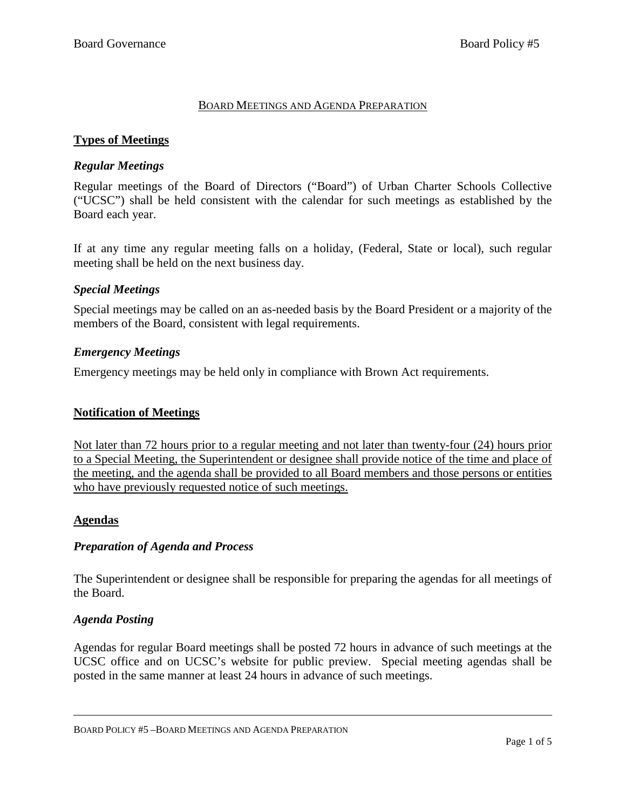#### BOARD MEETINGS AND AGENDA PREPARATION

## **Types of Meetings**

### *Regular Meetings*

Regular meetings of the Board of Directors ("Board") of Urban Charter Schools Collective ("UCSC") shall be held consistent with the calendar for such meetings as established by the Board each year.

If at any time any regular meeting falls on a holiday, (Federal, State or local), such regular meeting shall be held on the next business day.

### *Special Meetings*

Special meetings may be called on an as-needed basis by the Board President or a majority of the members of the Board, consistent with legal requirements.

### *Emergency Meetings*

Emergency meetings may be held only in compliance with Brown Act requirements.

#### **Notification of Meetings**

Not later than 72 hours prior to a regular meeting and not later than twenty-four (24) hours prior to a Special Meeting, the Superintendent or designee shall provide notice of the time and place of the meeting, and the agenda shall be provided to all Board members and those persons or entities who have previously requested notice of such meetings.

#### **Agendas**

## *Preparation of Agenda and Process*

The Superintendent or designee shall be responsible for preparing the agendas for all meetings of the Board.

## *Agenda Posting*

Agendas for regular Board meetings shall be posted 72 hours in advance of such meetings at the UCSC office and on UCSC's website for public preview. Special meeting agendas shall be posted in the same manner at least 24 hours in advance of such meetings.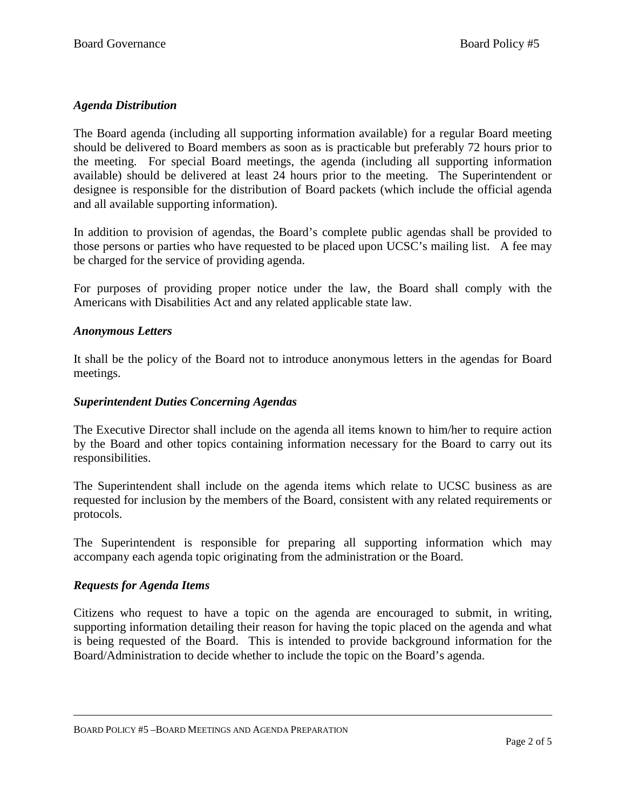## *Agenda Distribution*

The Board agenda (including all supporting information available) for a regular Board meeting should be delivered to Board members as soon as is practicable but preferably 72 hours prior to the meeting. For special Board meetings, the agenda (including all supporting information available) should be delivered at least 24 hours prior to the meeting. The Superintendent or designee is responsible for the distribution of Board packets (which include the official agenda and all available supporting information).

In addition to provision of agendas, the Board's complete public agendas shall be provided to those persons or parties who have requested to be placed upon UCSC's mailing list. A fee may be charged for the service of providing agenda.

For purposes of providing proper notice under the law, the Board shall comply with the Americans with Disabilities Act and any related applicable state law.

### *Anonymous Letters*

It shall be the policy of the Board not to introduce anonymous letters in the agendas for Board meetings.

#### *Superintendent Duties Concerning Agendas*

The Executive Director shall include on the agenda all items known to him/her to require action by the Board and other topics containing information necessary for the Board to carry out its responsibilities.

The Superintendent shall include on the agenda items which relate to UCSC business as are requested for inclusion by the members of the Board, consistent with any related requirements or protocols.

The Superintendent is responsible for preparing all supporting information which may accompany each agenda topic originating from the administration or the Board.

#### *Requests for Agenda Items*

Citizens who request to have a topic on the agenda are encouraged to submit, in writing, supporting information detailing their reason for having the topic placed on the agenda and what is being requested of the Board. This is intended to provide background information for the Board/Administration to decide whether to include the topic on the Board's agenda.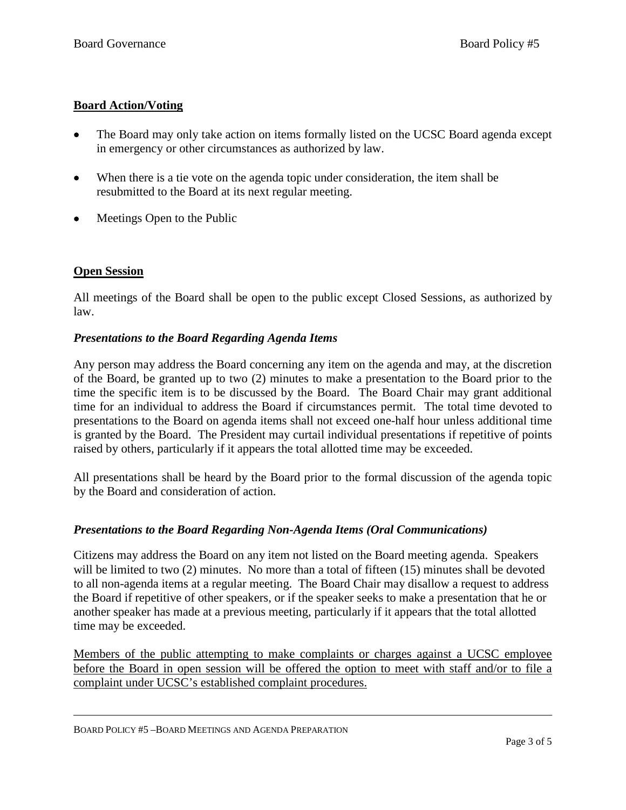## **Board Action/Voting**

- The Board may only take action on items formally listed on the UCSC Board agenda except in emergency or other circumstances as authorized by law.
- When there is a tie vote on the agenda topic under consideration, the item shall be resubmitted to the Board at its next regular meeting.
- Meetings Open to the Public

### **Open Session**

All meetings of the Board shall be open to the public except Closed Sessions, as authorized by law.

#### *Presentations to the Board Regarding Agenda Items*

Any person may address the Board concerning any item on the agenda and may, at the discretion of the Board, be granted up to two (2) minutes to make a presentation to the Board prior to the time the specific item is to be discussed by the Board. The Board Chair may grant additional time for an individual to address the Board if circumstances permit. The total time devoted to presentations to the Board on agenda items shall not exceed one-half hour unless additional time is granted by the Board. The President may curtail individual presentations if repetitive of points raised by others, particularly if it appears the total allotted time may be exceeded.

All presentations shall be heard by the Board prior to the formal discussion of the agenda topic by the Board and consideration of action.

## *Presentations to the Board Regarding Non-Agenda Items (Oral Communications)*

Citizens may address the Board on any item not listed on the Board meeting agenda. Speakers will be limited to two (2) minutes. No more than a total of fifteen (15) minutes shall be devoted to all non-agenda items at a regular meeting. The Board Chair may disallow a request to address the Board if repetitive of other speakers, or if the speaker seeks to make a presentation that he or another speaker has made at a previous meeting, particularly if it appears that the total allotted time may be exceeded.

Members of the public attempting to make complaints or charges against a UCSC employee before the Board in open session will be offered the option to meet with staff and/or to file a complaint under UCSC's established complaint procedures.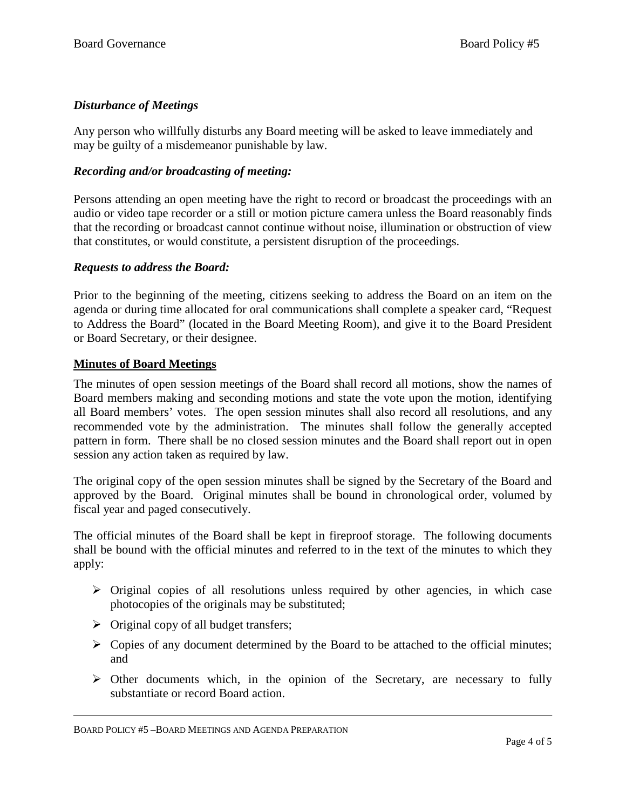# *Disturbance of Meetings*

Any person who willfully disturbs any Board meeting will be asked to leave immediately and may be guilty of a misdemeanor punishable by law.

## *Recording and/or broadcasting of meeting:*

Persons attending an open meeting have the right to record or broadcast the proceedings with an audio or video tape recorder or a still or motion picture camera unless the Board reasonably finds that the recording or broadcast cannot continue without noise, illumination or obstruction of view that constitutes, or would constitute, a persistent disruption of the proceedings.

#### *Requests to address the Board:*

Prior to the beginning of the meeting, citizens seeking to address the Board on an item on the agenda or during time allocated for oral communications shall complete a speaker card, "Request to Address the Board" (located in the Board Meeting Room), and give it to the Board President or Board Secretary, or their designee.

### **Minutes of Board Meetings**

The minutes of open session meetings of the Board shall record all motions, show the names of Board members making and seconding motions and state the vote upon the motion, identifying all Board members' votes. The open session minutes shall also record all resolutions, and any recommended vote by the administration. The minutes shall follow the generally accepted pattern in form. There shall be no closed session minutes and the Board shall report out in open session any action taken as required by law.

The original copy of the open session minutes shall be signed by the Secretary of the Board and approved by the Board. Original minutes shall be bound in chronological order, volumed by fiscal year and paged consecutively.

The official minutes of the Board shall be kept in fireproof storage. The following documents shall be bound with the official minutes and referred to in the text of the minutes to which they apply:

- $\triangleright$  Original copies of all resolutions unless required by other agencies, in which case photocopies of the originals may be substituted;
- $\triangleright$  Original copy of all budget transfers;
- $\triangleright$  Copies of any document determined by the Board to be attached to the official minutes; and
- $\triangleright$  Other documents which, in the opinion of the Secretary, are necessary to fully substantiate or record Board action.